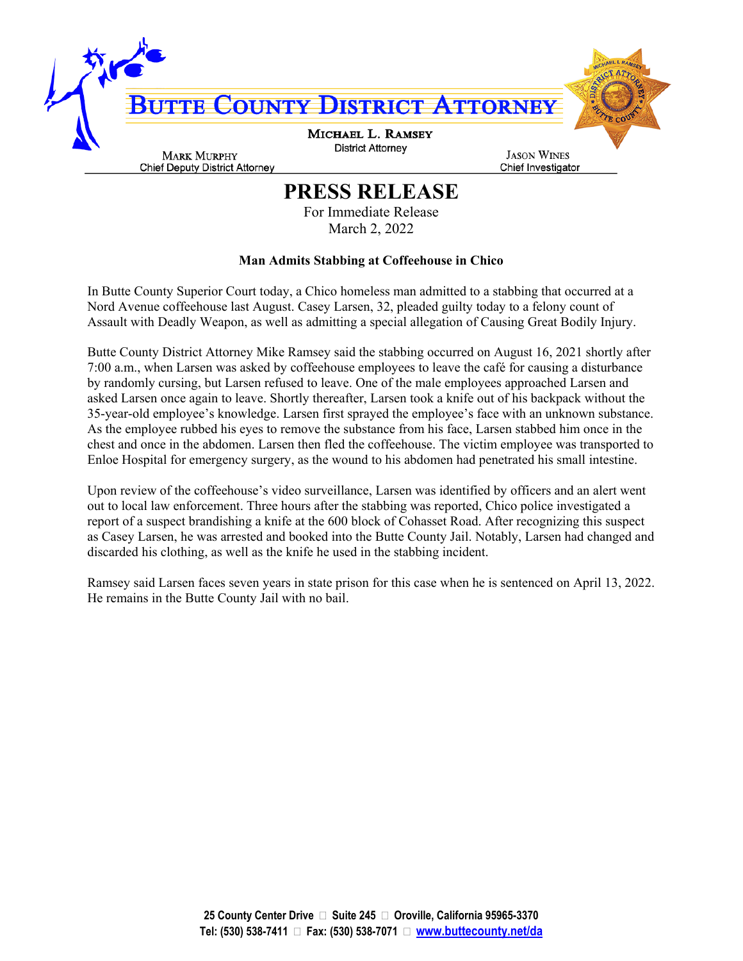

## **PRESS RELEASE**

For Immediate Release March 2, 2022

## **Man Admits Stabbing at Coffeehouse in Chico**

In Butte County Superior Court today, a Chico homeless man admitted to a stabbing that occurred at a Nord Avenue coffeehouse last August. Casey Larsen, 32, pleaded guilty today to a felony count of Assault with Deadly Weapon, as well as admitting a special allegation of Causing Great Bodily Injury.

Butte County District Attorney Mike Ramsey said the stabbing occurred on August 16, 2021 shortly after 7:00 a.m., when Larsen was asked by coffeehouse employees to leave the café for causing a disturbance by randomly cursing, but Larsen refused to leave. One of the male employees approached Larsen and asked Larsen once again to leave. Shortly thereafter, Larsen took a knife out of his backpack without the 35-year-old employee's knowledge. Larsen first sprayed the employee's face with an unknown substance. As the employee rubbed his eyes to remove the substance from his face, Larsen stabbed him once in the chest and once in the abdomen. Larsen then fled the coffeehouse. The victim employee was transported to Enloe Hospital for emergency surgery, as the wound to his abdomen had penetrated his small intestine.

Upon review of the coffeehouse's video surveillance, Larsen was identified by officers and an alert went out to local law enforcement. Three hours after the stabbing was reported, Chico police investigated a report of a suspect brandishing a knife at the 600 block of Cohasset Road. After recognizing this suspect as Casey Larsen, he was arrested and booked into the Butte County Jail. Notably, Larsen had changed and discarded his clothing, as well as the knife he used in the stabbing incident.

Ramsey said Larsen faces seven years in state prison for this case when he is sentenced on April 13, 2022. He remains in the Butte County Jail with no bail.